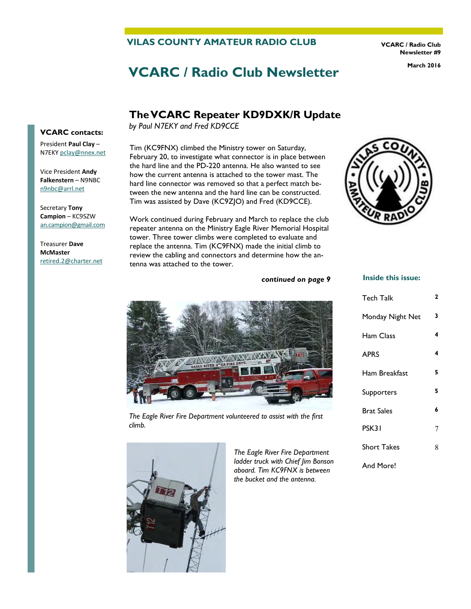# **VILAS COUNTY AMATEUR RADIO CLUB**

**VCARC / Radio Club Newsletter #9** 

# **VCARC / Radio Club Newsletter** March 2016

# **The VCARC Repeater KD9DXK/R Update**

*by Paul N7EKY and Fred KD9CCE*

Tim (KC9FNX) climbed the Ministry tower on Saturday, February 20, to investigate what connector is in place between the hard line and the PD-220 antenna. He also wanted to see how the current antenna is attached to the tower mast. The hard line connector was removed so that a perfect match between the new antenna and the hard line can be constructed. Tim was assisted by Dave (KC9ZJO) and Fred (KD9CCE).

Work continued during February and March to replace the club repeater antenna on the Ministry Eagle River Memorial Hospital tower. Three tower climbs were completed to evaluate and replace the antenna. Tim (KC9FNX) made the initial climb to review the cabling and connectors and determine how the antenna was attached to the tower.

#### **Inside this issue:**

Tech Talk **2** 

| <b>EAGLE RIVER A"EA FIRE DEPT.</b> |  |
|------------------------------------|--|
|                                    |  |

*The Eagle River Fire Department volunteered to assist with the first climb.* 



*The Eagle River Fire Department ladder truck with Chief Jim Bonson aboard. Tim KC9FNX is between the bucket and the antenna.* 

*continued on page 9* 

| Monday Night Net   | 3 |
|--------------------|---|
| Ham Class          | 4 |
| <b>APRS</b>        | 4 |
| Ham Breakfast      | 5 |
| Supporters         | 5 |
| <b>Brat Sales</b>  | 6 |
| PSK31              | 7 |
| <b>Short Takes</b> | 8 |
| And More!          |   |





President **Paul Clay** – N7EKY [pclay@nnex.net](mailto:pclay@nnex.net)

Vice President **Andy Falkenstern** – N9NBC [n9nbc@arrl.net](mailto:n9nbc@arrl.net)

Secretary **Tony Campion** – KC9SZW [an.campion@gmail.com](mailto:an.campion@gmail.com)

Treasurer **Dave McMaster**  [retired.2@charter.net](mailto:retired.2@charter.net)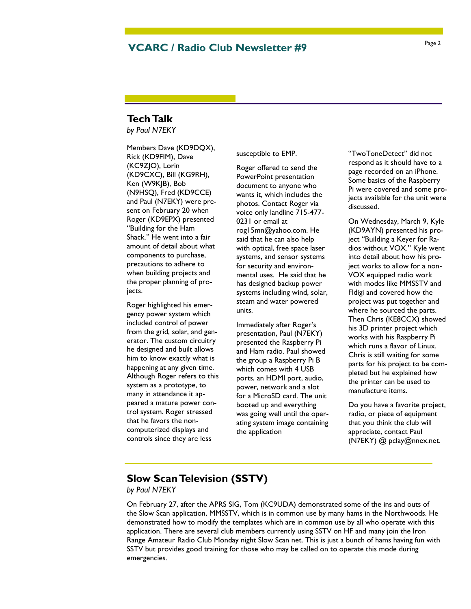# Page 2 **VCARC / Radio Club Newsletter #9**

# **Tech Talk**

*by Paul N7EKY*

Members Dave (KD9DQX), Rick (KD9FIM), Dave (KC9ZJO), Lorin (KD9CXC), Bill (KG9RH), Ken (W9KJB), Bob (N9HSQ), Fred (KD9CCE) and Paul (N7EKY) were present on February 20 when Roger (KD9EPX) presented "Building for the Ham Shack." He went into a fair amount of detail about what components to purchase, precautions to adhere to when building projects and the proper planning of projects.

Roger highlighted his emergency power system which included control of power from the grid, solar, and generator. The custom circuitry he designed and built allows him to know exactly what is happening at any given time. Although Roger refers to this system as a prototype, to many in attendance it appeared a mature power control system. Roger stressed that he favors the noncomputerized displays and controls since they are less

susceptible to EMP.

Roger offered to send the PowerPoint presentation document to anyone who wants it, which includes the photos. Contact Roger via voice only landline 715-477- 0231 or email at rog15mn@yahoo.com. He said that he can also help with optical, free space laser systems, and sensor systems for security and environmental uses. He said that he has designed backup power systems including wind, solar, steam and water powered units.

Immediately after Roger's presentation, Paul (N7EKY) presented the Raspberry Pi and Ham radio. Paul showed the group a Raspberry Pi B which comes with 4 USB ports, an HDMI port, audio, power, network and a slot for a MicroSD card. The unit booted up and everything was going well until the operating system image containing the application

"TwoToneDetect" did not respond as it should have to a page recorded on an iPhone. Some basics of the Raspberry Pi were covered and some projects available for the unit were discussed.

On Wednesday, March 9, Kyle (KD9AYN) presented his project "Building a Keyer for Radios without VOX." Kyle went into detail about how his project works to allow for a non-VOX equipped radio work with modes like MMSSTV and Fldigi and covered how the project was put together and where he sourced the parts. Then Chris (KE8CCX) showed his 3D printer project which works with his Raspberry Pi which runs a flavor of Linux. Chris is still waiting for some parts for his project to be completed but he explained how the printer can be used to manufacture items.

Do you have a favorite project, radio, or piece of equipment that you think the club will appreciate, contact Paul (N7EKY) @ pclay@nnex.net.

# **Slow Scan Television (SSTV)**

#### *by Paul N7EKY*

On February 27, after the APRS SIG, Tom (KC9UDA) demonstrated some of the ins and outs of the Slow Scan application, MMSSTV, which is in common use by many hams in the Northwoods. He demonstrated how to modify the templates which are in common use by all who operate with this application. There are several club members currently using SSTV on HF and many join the Iron Range Amateur Radio Club Monday night Slow Scan net. This is just a bunch of hams having fun with SSTV but provides good training for those who may be called on to operate this mode during emergencies.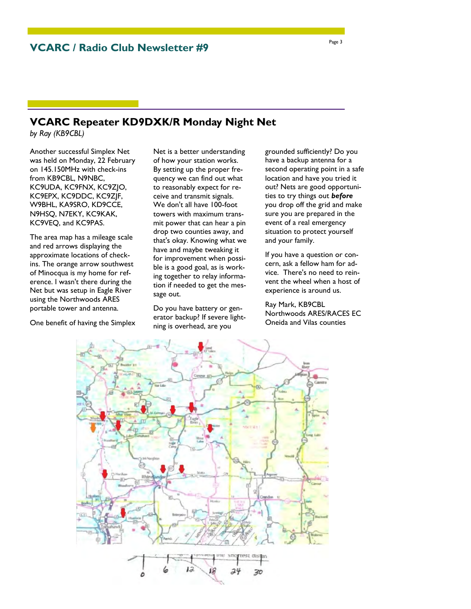# **VCARC Repeater KD9DXK/R Monday Night Net**

*by Ray (KB9CBL)*

Another successful Simplex Net was held on Monday, 22 February on 145.150MHz with check-ins from KB9CBL, N9NBC, KC9UDA, KC9FNX, KC9ZJO, KC9EPX, KC9DDC, KC9ZJF, W9BHL, KA9SRO, KD9CCE, N9HSQ, N7EKY, KC9KAK, KC9VEQ, and KC9PAS.

The area map has a mileage scale and red arrows displaying the approximate locations of checkins. The orange arrow southwest of Minocqua is my home for reference. I wasn't there during the Net but was setup in Eagle River using the Northwoods ARES portable tower and antenna.

One benefit of having the Simplex

Net is a better understanding of how your station works. By setting up the proper frequency we can find out what to reasonably expect for receive and transmit signals. We don't all have 100-foot towers with maximum transmit power that can hear a pin drop two counties away, and that's okay. Knowing what we have and maybe tweaking it for improvement when possible is a good goal, as is working together to relay information if needed to get the message out.

Do you have battery or generator backup? If severe lightning is overhead, are you

grounded sufficiently? Do you have a backup antenna for a second operating point in a safe location and have you tried it out? Nets are good opportunities to try things out *before* you drop off the grid and make sure you are prepared in the event of a real emergency situation to protect yourself and your family.

If you have a question or concern, ask a fellow ham for advice. There's no need to reinvent the wheel when a host of experience is around us.

Ray Mark, KB9CBL Northwoods ARES/RACES EC Oneida and Vilas counties

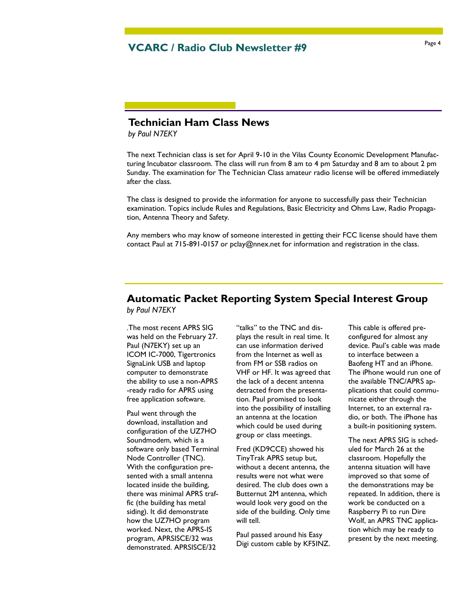# Page 4 **VCARC / Radio Club Newsletter #9**

# **Technician Ham Class News**

*by Paul N7EKY*

The next Technician class is set for April 9-10 in the Vilas County Economic Development Manufacturing Incubator classroom. The class will run from 8 am to 4 pm Saturday and 8 am to about 2 pm Sunday. The examination for The Technician Class amateur radio license will be offered immediately after the class.

The class is designed to provide the information for anyone to successfully pass their Technician examination. Topics include Rules and Regulations, Basic Electricity and Ohms Law, Radio Propagation, Antenna Theory and Safety.

Any members who may know of someone interested in getting their FCC license should have them contact Paul at 715-891-0157 or pclay@nnex.net for information and registration in the class.

# **Automatic Packet Reporting System Special Interest Group**  *by Paul N7EKY*

.The most recent APRS SIG was held on the February 27. Paul (N7EKY) set up an ICOM IC-7000, Tigertronics SignaLink USB and laptop computer to demonstrate the ability to use a non-APRS -ready radio for APRS using free application software.

Paul went through the download, installation and configuration of the UZ7HO Soundmodem, which is a software only based Terminal Node Controller (TNC). With the configuration presented with a small antenna located inside the building, there was minimal APRS traffic (the building has metal siding). It did demonstrate how the UZ7HO program worked. Next, the APRS-IS program, APRSISCE/32 was demonstrated. APRSISCE/32

"talks" to the TNC and displays the result in real time. It can use information derived from the Internet as well as from FM or SSB radios on VHF or HF. It was agreed that the lack of a decent antenna detracted from the presentation. Paul promised to look into the possibility of installing an antenna at the location which could be used during group or class meetings.

Fred (KD9CCE) showed his TinyTrak APRS setup but, without a decent antenna, the results were not what were desired. The club does own a Butternut 2M antenna, which would look very good on the side of the building. Only time will tell.

Paul passed around his Easy Digi custom cable by KF5INZ.

This cable is offered preconfigured for almost any device. Paul's cable was made to interface between a Baofeng HT and an iPhone. The iPhone would run one of the available TNC/APRS applications that could communicate either through the Internet, to an external radio, or both. The iPhone has a built-in positioning system.

The next APRS SIG is scheduled for March 26 at the classroom. Hopefully the antenna situation will have improved so that some of the demonstrations may be repeated. In addition, there is work be conducted on a Raspberry Pi to run Dire Wolf, an APRS TNC application which may be ready to present by the next meeting.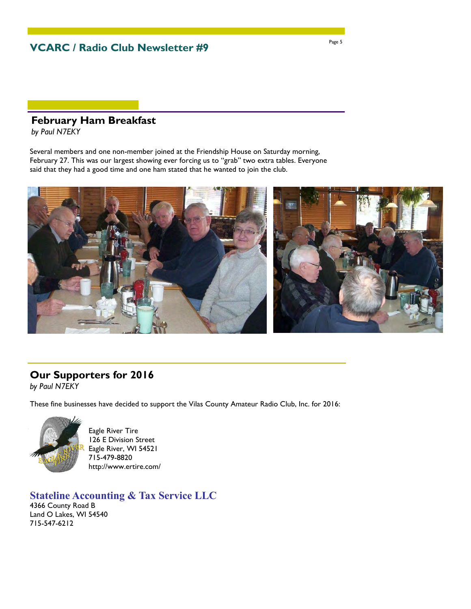**VCARC / Radio Club Newsletter #9** 

# **February Ham Breakfast**

*by Paul N7EKY*

Several members and one non-member joined at the Friendship House on Saturday morning, February 27. This was our largest showing ever forcing us to "grab" two extra tables. Everyone said that they had a good time and one ham stated that he wanted to join the club.



# **Our Supporters for 2016**

*by Paul N7EKY*

These fine businesses have decided to support the Vilas County Amateur Radio Club, Inc. for 2016:



Eagle River Tire 126 E Division Street Eagle River, WI 54521 715-479-8820 http://www.ertire.com/

**Stateline Accounting & Tax Service LLC** 4366 County Road B Land O Lakes, WI 54540 715-547-6212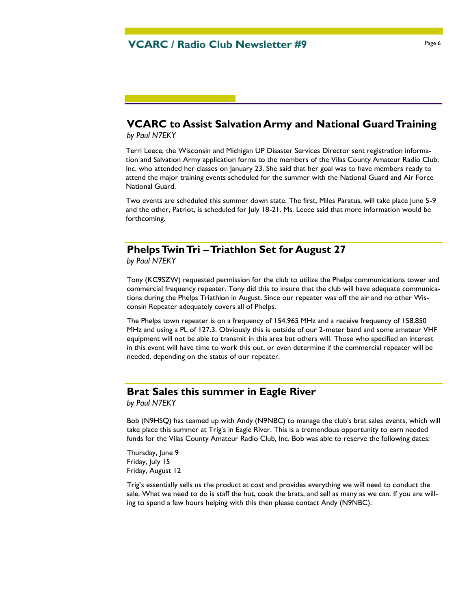# **VCARC to Assist Salvation Army and National Guard Training**

*by Paul N7EKY*

Terri Leece, the Wisconsin and Michigan UP Disaster Services Director sent registration information and Salvation Army application forms to the members of the Vilas County Amateur Radio Club, Inc. who attended her classes on January 23. She said that her goal was to have members ready to attend the major training events scheduled for the summer with the National Guard and Air Force National Guard.

Two events are scheduled this summer down state. The first, Miles Paratus, will take place June 5-9 and the other, Patriot, is scheduled for July 18-21. Ms. Leece said that more information would be forthcoming.

# **Phelps Twin Tri – Triathlon Set for August 27**

*by Paul N7EKY*

Tony (KC9SZW) requested permission for the club to utilize the Phelps communications tower and commercial frequency repeater. Tony did this to insure that the club will have adequate communications during the Phelps Triathlon in August. Since our repeater was off the air and no other Wisconsin Repeater adequately covers all of Phelps.

The Phelps town repeater is on a frequency of 154.965 MHz and a receive frequency of 158.850 MHz and using a PL of 127.3. Obviously this is outside of our 2-meter band and some amateur VHF equipment will not be able to transmit in this area but others will. Those who specified an interest in this event will have time to work this out, or even determine if the commercial repeater will be needed, depending on the status of our repeater.

# **Brat Sales this summer in Eagle River**

*by Paul N7EKY*

Bob (N9HSQ) has teamed up with Andy (N9NBC) to manage the club's brat sales events, which will take place this summer at Trig's in Eagle River. This is a tremendous opportunity to earn needed funds for the Vilas County Amateur Radio Club, Inc. Bob was able to reserve the following dates:

Thursday, June 9 Friday, July 15 Friday, August 12

Trig's essentially sells us the product at cost and provides everything we will need to conduct the sale. What we need to do is staff the hut, cook the brats, and sell as many as we can. If you are willing to spend a few hours helping with this then please contact Andy (N9NBC).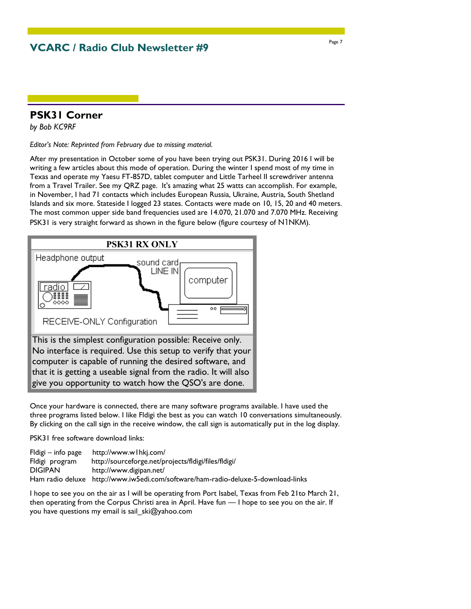**VCARC / Radio Club Newsletter #9** 

# **PSK31 Corner**

*by Bob KC9RF*

*Editor's Note: Reprinted from February due to missing material.*

After my presentation in October some of you have been trying out PSK31. During 2016 I will be writing a few articles about this mode of operation. During the winter I spend most of my time in Texas and operate my Yaesu FT-857D, tablet computer and Little Tarheel II screwdriver antenna from a Travel Trailer. See my QRZ page. It's amazing what 25 watts can accomplish. For example, in November, I had 71 contacts which includes European Russia, Ukraine, Austria, South Shetland Islands and six more. Stateside I logged 23 states. Contacts were made on 10, 15, 20 and 40 meters. The most common upper side band frequencies used are 14.070, 21.070 and 7.070 MHz. Receiving PSK31 is very straight forward as shown in the figure below (figure courtesy of N1NKM).



Once your hardware is connected, there are many software programs available. I have used the three programs listed below. I like Fldigi the best as you can watch 10 conversations simultaneously. By clicking on the call sign in the receive window, the call sign is automatically put in the log display.

PSK31 free software download links:

Fldigi – info page http://www.w1hkj.com/ Fldigi program http://sourceforge.net/projects/fldigi/files/fldigi/ DIGIPAN http://www.digipan.net/ Ham radio deluxe http://www.iw5edi.com/software/ham-radio-deluxe-5-download-links

I hope to see you on the air as I will be operating from Port Isabel, Texas from Feb 21to March 21, then operating from the Corpus Christi area in April. Have fun — I hope to see you on the air. If you have questions my email is sail\_ski@yahoo.com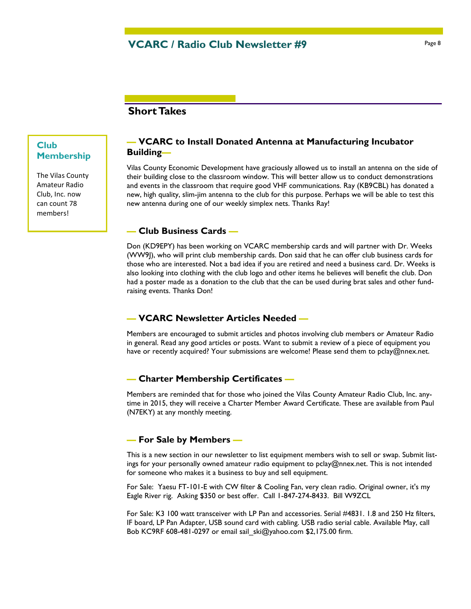# **Short Takes**

# **Club Membership**

The Vilas County Amateur Radio Club, Inc. now can count 78 members!

# **— VCARC to Install Donated Antenna at Manufacturing Incubator Building—**

Vilas County Economic Development have graciously allowed us to install an antenna on the side of their building close to the classroom window. This will better allow us to conduct demonstrations and events in the classroom that require good VHF communications. Ray (KB9CBL) has donated a new, high quality, slim-jim antenna to the club for this purpose. Perhaps we will be able to test this new antenna during one of our weekly simplex nets. Thanks Ray!

#### **— Club Business Cards —**

Don (KD9EPY) has been working on VCARC membership cards and will partner with Dr. Weeks (WW9J), who will print club membership cards. Don said that he can offer club business cards for those who are interested. Not a bad idea if you are retired and need a business card. Dr. Weeks is also looking into clothing with the club logo and other items he believes will benefit the club. Don had a poster made as a donation to the club that the can be used during brat sales and other fundraising events. Thanks Don!

# **— VCARC Newsletter Articles Needed —**

Members are encouraged to submit articles and photos involving club members or Amateur Radio in general. Read any good articles or posts. Want to submit a review of a piece of equipment you have or recently acquired? Your submissions are welcome! Please send them to pclay@nnex.net.

# **— Charter Membership Certificates —**

Members are reminded that for those who joined the Vilas County Amateur Radio Club, Inc. anytime in 2015, they will receive a Charter Member Award Certificate. These are available from Paul (N7EKY) at any monthly meeting.

#### **— For Sale by Members —**

This is a new section in our newsletter to list equipment members wish to sell or swap. Submit listings for your personally owned amateur radio equipment to pclay@nnex.net. This is not intended for someone who makes it a business to buy and sell equipment.

For Sale: Yaesu FT-101-E with CW filter & Cooling Fan, very clean radio. Original owner, it's my Eagle River rig. Asking \$350 or best offer. Call 1-847-274-8433. Bill W9ZCL

For Sale: K3 100 watt transceiver with LP Pan and accessories. Serial #4831. 1.8 and 250 Hz filters, IF board, LP Pan Adapter, USB sound card with cabling. USB radio serial cable. Available May, call Bob KC9RF 608-481-0297 or email sail\_ski@yahoo.com \$2,175.00 firm.